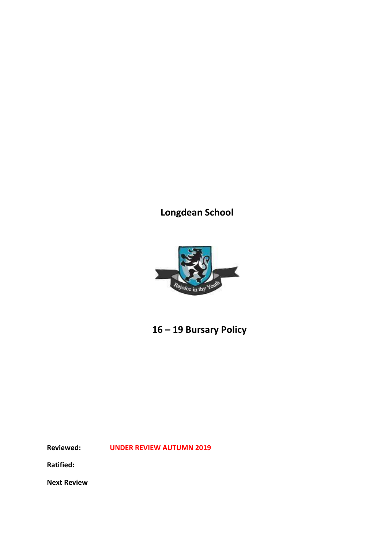**Longdean School**



 **16 – 19 Bursary Policy** 

**Reviewed: UNDER REVIEW AUTUMN 2019**

**Ratified:**

**Next Review**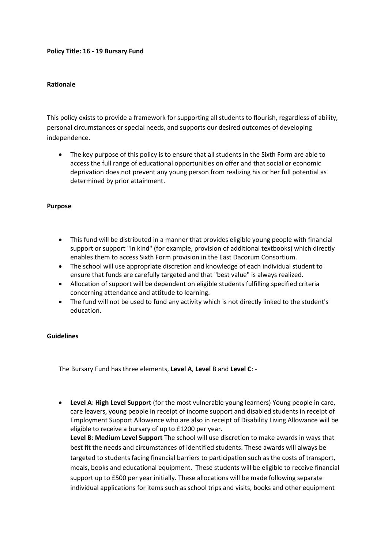## **Policy Title: 16 - 19 Bursary Fund**

## **Rationale**

This policy exists to provide a framework for supporting all students to flourish, regardless of ability, personal circumstances or special needs, and supports our desired outcomes of developing independence.

 The key purpose of this policy is to ensure that all students in the Sixth Form are able to access the full range of educational opportunities on offer and that social or economic deprivation does not prevent any young person from realizing his or her full potential as determined by prior attainment.

### **Purpose**

- This fund will be distributed in a manner that provides eligible young people with financial support or support "in kind" (for example, provision of additional textbooks) which directly enables them to access Sixth Form provision in the East Dacorum Consortium.
- The school will use appropriate discretion and knowledge of each individual student to ensure that funds are carefully targeted and that "best value" is always realized.
- Allocation of support will be dependent on eligible students fulfilling specified criteria concerning attendance and attitude to learning.
- The fund will not be used to fund any activity which is not directly linked to the student's education.

#### **Guidelines**

The Bursary Fund has three elements, **Level A**, **Level** B and **Level C**: -

 **Level A**: **High Level Support** (for the most vulnerable young learners) Young people in care, care leavers, young people in receipt of income support and disabled students in receipt of Employment Support Allowance who are also in receipt of Disability Living Allowance will be eligible to receive a bursary of up to £1200 per year. **Level B**: **Medium Level Support** The school will use discretion to make awards in ways that best fit the needs and circumstances of identified students. These awards will always be targeted to students facing financial barriers to participation such as the costs of transport, meals, books and educational equipment. These students will be eligible to receive financial support up to £500 per year initially. These allocations will be made following separate individual applications for items such as school trips and visits, books and other equipment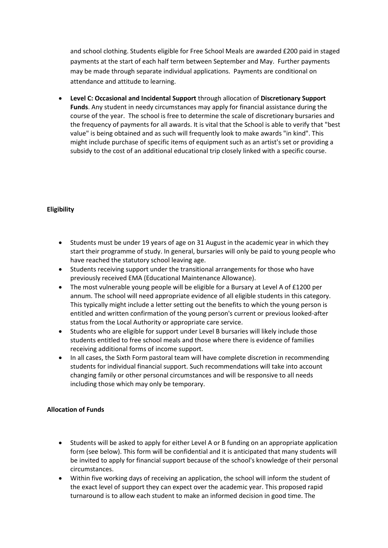and school clothing. Students eligible for Free School Meals are awarded £200 paid in staged payments at the start of each half term between September and May. Further payments may be made through separate individual applications. Payments are conditional on attendance and attitude to learning.

 **Level C: Occasional and Incidental Support** through allocation of **Discretionary Support Funds**. Any student in needy circumstances may apply for financial assistance during the course of the year. The school is free to determine the scale of discretionary bursaries and the frequency of payments for all awards. It is vital that the School is able to verify that "best value" is being obtained and as such will frequently look to make awards "in kind". This might include purchase of specific items of equipment such as an artist's set or providing a subsidy to the cost of an additional educational trip closely linked with a specific course.

# **Eligibility**

- Students must be under 19 years of age on 31 August in the academic year in which they start their programme of study. In general, bursaries will only be paid to young people who have reached the statutory school leaving age.
- Students receiving support under the transitional arrangements for those who have previously received EMA (Educational Maintenance Allowance).
- The most vulnerable young people will be eligible for a Bursary at Level A of £1200 per annum. The school will need appropriate evidence of all eligible students in this category. This typically might include a letter setting out the benefits to which the young person is entitled and written confirmation of the young person's current or previous looked-after status from the Local Authority or appropriate care service.
- Students who are eligible for support under Level B bursaries will likely include those students entitled to free school meals and those where there is evidence of families receiving additional forms of income support.
- In all cases, the Sixth Form pastoral team will have complete discretion in recommending students for individual financial support. Such recommendations will take into account changing family or other personal circumstances and will be responsive to all needs including those which may only be temporary.

## **Allocation of Funds**

- Students will be asked to apply for either Level A or B funding on an appropriate application form (see below). This form will be confidential and it is anticipated that many students will be invited to apply for financial support because of the school's knowledge of their personal circumstances.
- Within five working days of receiving an application, the school will inform the student of the exact level of support they can expect over the academic year. This proposed rapid turnaround is to allow each student to make an informed decision in good time. The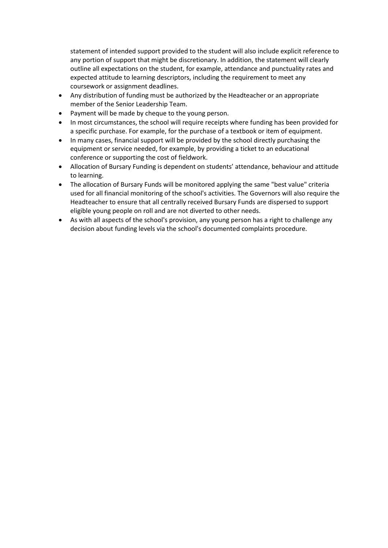statement of intended support provided to the student will also include explicit reference to any portion of support that might be discretionary. In addition, the statement will clearly outline all expectations on the student, for example, attendance and punctuality rates and expected attitude to learning descriptors, including the requirement to meet any coursework or assignment deadlines.

- Any distribution of funding must be authorized by the Headteacher or an appropriate member of the Senior Leadership Team.
- Payment will be made by cheque to the young person.
- In most circumstances, the school will require receipts where funding has been provided for a specific purchase. For example, for the purchase of a textbook or item of equipment.
- In many cases, financial support will be provided by the school directly purchasing the equipment or service needed, for example, by providing a ticket to an educational conference or supporting the cost of fieldwork.
- Allocation of Bursary Funding is dependent on students' attendance, behaviour and attitude to learning.
- The allocation of Bursary Funds will be monitored applying the same "best value" criteria used for all financial monitoring of the school's activities. The Governors will also require the Headteacher to ensure that all centrally received Bursary Funds are dispersed to support eligible young people on roll and are not diverted to other needs.
- As with all aspects of the school's provision, any young person has a right to challenge any decision about funding levels via the school's documented complaints procedure.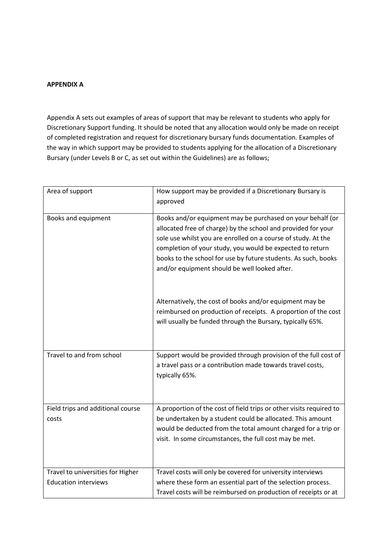## **APPENDIX A**

Appendix A sets out examples of areas of support that may be relevant to students who apply for Discretionary Support funding. It should be noted that any allocation would only be made on receipt of completed registration and request for discretionary bursary funds documentation. Examples of the way in which support may be provided to students applying for the allocation of a Discretionary Bursary (under Levels B or C, as set out within the Guidelines) are as follows;

| Area of support                                                  | How support may be provided if a Discretionary Bursary is<br>approved                                                                                                                                                                                                                                                                                                        |
|------------------------------------------------------------------|------------------------------------------------------------------------------------------------------------------------------------------------------------------------------------------------------------------------------------------------------------------------------------------------------------------------------------------------------------------------------|
| Books and equipment                                              | Books and/or equipment may be purchased on your behalf (or<br>allocated free of charge) by the school and provided for your<br>sole use whilst you are enrolled on a course of study. At the<br>completion of your study, you would be expected to return<br>books to the school for use by future students. As such, books<br>and/or equipment should be well looked after. |
|                                                                  | Alternatively, the cost of books and/or equipment may be<br>reimbursed on production of receipts. A proportion of the cost<br>will usually be funded through the Bursary, typically 65%.                                                                                                                                                                                     |
| Travel to and from school                                        | Support would be provided through provision of the full cost of<br>a travel pass or a contribution made towards travel costs,<br>typically 65%.                                                                                                                                                                                                                              |
| Field trips and additional course<br>costs                       | A proportion of the cost of field trips or other visits required to<br>be undertaken by a student could be allocated. This amount<br>would be deducted from the total amount charged for a trip or<br>visit. In some circumstances, the full cost may be met.                                                                                                                |
| Travel to universities for Higher<br><b>Education interviews</b> | Travel costs will only be covered for university interviews<br>where these form an essential part of the selection process.<br>Travel costs will be reimbursed on production of receipts or at                                                                                                                                                                               |